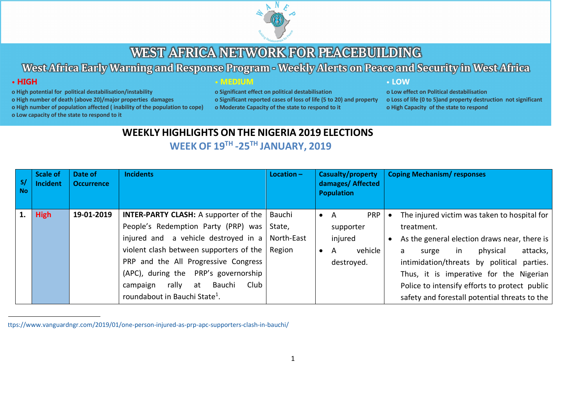

West Africa Early Warning and Response Program - Weekly Alerts on Peace and Security in West Africa

# $\cdot$  HIGH

#### o High potential for political destabilisation/instability

o High number of death (above 20)/major properties damages

o High number of population affected (inability of the population to cope)

**• MEDIUM** 

o Significant effect on political destabilisation o Significant reported cases of loss of life (5 to 20) and property o Moderate Capacity of the state to respond to it

#### • LOW

o Low effect on Political destabilisation o Loss of life (0 to 5) and property destruction not significant o High Capacity of the state to respond

o Low capacity of the state to respond to it

# **WEEKLY HIGHLIGHTS ON THE NIGERIA 2019 ELECTIONS**

# **WEEK OF 19TH -25TH JANUARY, 2019**

| S/<br><b>No</b> | <b>Scale of</b><br>Incident | Date of<br><b>Occurrence</b> | <b>Incidents</b>                                                                                                                                                                                                                                                                                                                                                                    | $Location -$     | Casualty/property<br>damages/ Affected<br><b>Population</b>                          | <b>Coping Mechanism/ responses</b>                                                                                                                                                                                                                                                                                                                |
|-----------------|-----------------------------|------------------------------|-------------------------------------------------------------------------------------------------------------------------------------------------------------------------------------------------------------------------------------------------------------------------------------------------------------------------------------------------------------------------------------|------------------|--------------------------------------------------------------------------------------|---------------------------------------------------------------------------------------------------------------------------------------------------------------------------------------------------------------------------------------------------------------------------------------------------------------------------------------------------|
|                 | <b>High</b>                 | 19-01-2019                   | <b>INTER-PARTY CLASH:</b> A supporter of the $\vert$<br>People's Redemption Party (PRP) was<br>injured and a vehicle destroyed in a $\vert$ North-East<br>violent clash between supporters of the $ $ Region<br>PRP and the All Progressive Congress<br>(APC), during the PRP's governorship<br>rally at<br>Bauchi<br>Club<br>campaign<br>roundabout in Bauchi State <sup>1</sup> . | Bauchi<br>State, | <b>PRP</b><br>- A<br>$\bullet$<br>supporter<br>injured<br>vehicle<br>A<br>destroyed. | The injured victim was taken to hospital for<br>treatment.<br>As the general election draws near, there is<br>attacks,<br>physical<br>in<br>surge<br>a<br>intimidation/threats by political parties.<br>Thus, it is imperative for the Nigerian<br>Police to intensify efforts to protect public<br>safety and forestall potential threats to the |

1 https://www.vanguardngr.com/2019/01/one-person-injured-as-prp-apc-supporters-clash-in-bauchi/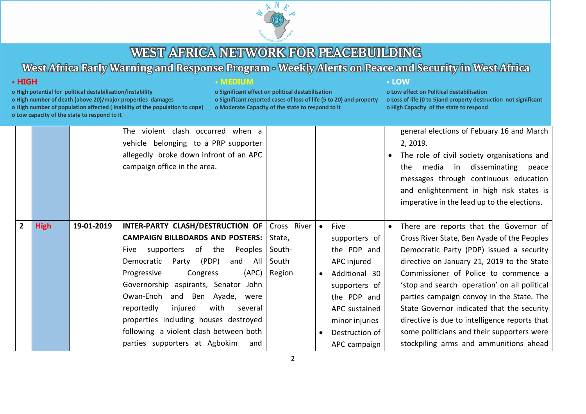

# West Africa Early Warning and Response Program - Weekly Alerts on Peace and Security in West Africa

### $\cdot$  HIGH

o High potential for political destabilisation/instability

o High number of death (above 20)/major properties damages

o High number of population affected (inability of the population to cope)

o Low capacity of the state to respond to it

### **• MEDIUM**

o Significant effect on political destabilisation o Significant reported cases of loss of life (5 to 20) and property o Moderate Capacity of the state to respond to it

#### • LOW

|                |             |            | The violent clash occurred when a          |             |           |                |           | general elections of Febuary 16 and March     |
|----------------|-------------|------------|--------------------------------------------|-------------|-----------|----------------|-----------|-----------------------------------------------|
|                |             |            | vehicle belonging to a PRP supporter       |             |           |                |           | 2, 2019.                                      |
|                |             |            | allegedly broke down infront of an APC     |             |           |                | $\bullet$ | The role of civil society organisations and   |
|                |             |            | campaign office in the area.               |             |           |                |           | the media in disseminating peace              |
|                |             |            |                                            |             |           |                |           | messages through continuous education         |
|                |             |            |                                            |             |           |                |           | and enlightenment in high risk states is      |
|                |             |            |                                            |             |           |                |           | imperative in the lead up to the elections.   |
|                |             |            |                                            |             |           |                |           |                                               |
| $\overline{2}$ | <b>High</b> | 19-01-2019 | INTER-PARTY CLASH/DESTRUCTION OF           | Cross River | $\bullet$ | Five           | $\bullet$ | There are reports that the Governor of        |
|                |             |            | <b>CAMPAIGN BILLBOARDS AND POSTERS:</b>    | State,      |           | supporters of  |           | Cross River State, Ben Ayade of the Peoples   |
|                |             |            | of the<br>Peoples  <br>supporters<br>Five  | South-      |           | the PDP and    |           | Democratic Party (PDP) issued a security      |
|                |             |            | (PDP)<br>Democratic<br>Party<br>and<br>All | South       |           | APC injured    |           | directive on January 21, 2019 to the State    |
|                |             |            | (APC)<br>Progressive<br>Congress           | Region      |           | Additional 30  |           | Commissioner of Police to commence a          |
|                |             |            | Governorship aspirants, Senator<br>John    |             |           | supporters of  |           | 'stop and search operation' on all political  |
|                |             |            | Owan-Enoh<br>and Ben Ayade,<br>were        |             |           | the PDP and    |           | parties campaign convoy in the State. The     |
|                |             |            | reportedly<br>injured<br>with<br>several   |             |           | APC sustained  |           | State Governor indicated that the security    |
|                |             |            | properties including houses destroyed      |             |           | minor injuries |           | directive is due to intelligence reports that |
|                |             |            | following a violent clash between both     |             |           | Destruction of |           | some politicians and their supporters were    |
|                |             |            | parties supporters at Agbokim<br>and       |             |           | APC campaign   |           | stockpiling arms and ammunitions ahead        |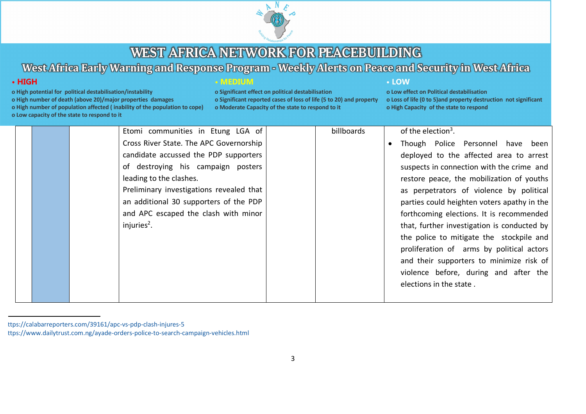

# West Africa Early Warning and Response Program - Weekly Alerts on Peace and Security in West Africa

# $\cdot$  HIGH

- o High potential for political destabilisation/instability
- o High number of death (above 20)/major properties damages
- o High number of population affected (inability of the population to cope)
- o Low capacity of the state to respond to it

### **• MEDIUM**

o Significant effect on political destabilisation o Significant reported cases of loss of life (5 to 20) and property o Moderate Capacity of the state to respond to it

#### • LOW

|  | Etomi communities in Etung LGA of        | billboards | of the election <sup>3</sup> .              |
|--|------------------------------------------|------------|---------------------------------------------|
|  | Cross River State. The APC Governorship  |            | Though Police Personnel have been           |
|  | candidate accussed the PDP supporters    |            | deployed to the affected area to arrest     |
|  | of destroying his campaign posters       |            | suspects in connection with the crime and   |
|  | leading to the clashes.                  |            | restore peace, the mobilization of youths   |
|  | Preliminary investigations revealed that |            | as perpetrators of violence by political    |
|  | an additional 30 supporters of the PDP   |            | parties could heighten voters apathy in the |
|  | and APC escaped the clash with minor     |            | forthcoming elections. It is recommended    |
|  | injuries $2$ .                           |            | that, further investigation is conducted by |
|  |                                          |            | the police to mitigate the stockpile and    |
|  |                                          |            | proliferation of arms by political actors   |
|  |                                          |            | and their supporters to minimize risk of    |
|  |                                          |            | violence before, during and after the       |
|  |                                          |            | elections in the state.                     |
|  |                                          |            |                                             |

ttps://calabarreporters.com/39161/apc-vs-pdp-clash-injures-5 ttps://www.dailytrust.com.ng/ayade-orders-police-to-search-campaign-vehicles.html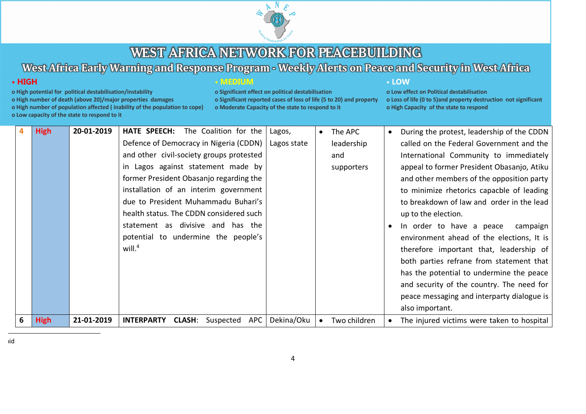

# West Africa Early Warning and Response Program - Weekly Alerts on Peace and Security in West Africa

### $\cdot$  HIGH

- o High potential for political destabilisation/instability
- o High number of death (above 20)/major properties damages

o High number of population affected (inability of the population to cope)

o Low capacity of the state to respond to it

#### **• MEDIUM**

o Significant effect on political destabilisation o Significant reported cases of loss of life (5 to 20) and property o Moderate Capacity of the state to respond to it

#### • LOW

| 4 | <b>High</b> | 20-01-2019 | The Coalition for the<br><b>HATE SPEECH:</b>           | Lagos,      | The APC      | $\bullet$ | During the protest, leadership of the CDDN |
|---|-------------|------------|--------------------------------------------------------|-------------|--------------|-----------|--------------------------------------------|
|   |             |            | Defence of Democracy in Nigeria (CDDN)                 | Lagos state | leadership   |           | called on the Federal Government and the   |
|   |             |            | and other civil-society groups protested               |             | and          |           | International Community to immediately     |
|   |             |            | in Lagos against statement made by                     |             | supporters   |           | appeal to former President Obasanjo, Atiku |
|   |             |            | former President Obasanjo regarding the                |             |              |           | and other members of the opposition party  |
|   |             |            | installation of an interim government                  |             |              |           | to minimize rhetorics capacble of leading  |
|   |             |            | due to President Muhammadu Buhari's                    |             |              |           | to breakdown of law and order in the lead  |
|   |             |            | health status. The CDDN considered such                |             |              |           | up to the election.                        |
|   |             |            | statement as divisive and has the                      |             |              |           | In order to have a peace<br>campaign       |
|   |             |            | potential to undermine the people's                    |             |              |           | environment ahead of the elections, It is  |
|   |             |            | will. $4$                                              |             |              |           | therefore important that, leadership of    |
|   |             |            |                                                        |             |              |           | both parties refrane from statement that   |
|   |             |            |                                                        |             |              |           | has the potential to undermine the peace   |
|   |             |            |                                                        |             |              |           | and security of the country. The need for  |
|   |             |            |                                                        |             |              |           | peace messaging and interparty dialogue is |
|   |             |            |                                                        |             |              |           | also important.                            |
| 6 | <b>High</b> | 21-01-2019 | APC<br>Suspected<br><b>INTERPARTY</b><br><b>CLASH:</b> | Dekina/Oku  | Two children | $\bullet$ | The injured victims were taken to hospital |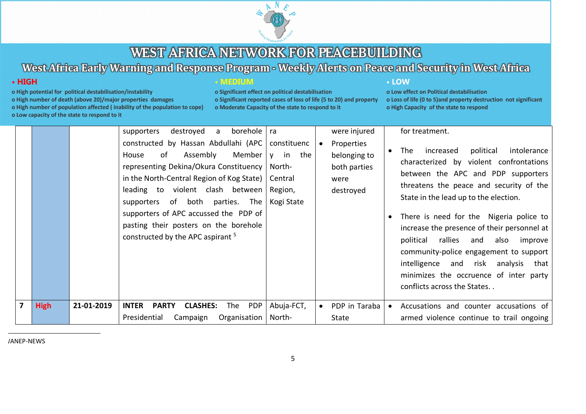

# West Africa Early Warning and Response Program - Weekly Alerts on Peace and Security in West Africa

### $\cdot$  HIGH

- o High potential for political destabilisation/instability
- o High number of death (above 20)/major properties damages

o High number of population affected (inability of the population to cope)

o Low capacity of the state to respond to it

|  | MEDIUM |  |  |  |
|--|--------|--|--|--|
|  |        |  |  |  |
|  |        |  |  |  |
|  |        |  |  |  |
|  |        |  |  |  |
|  |        |  |  |  |

o Significant effect on political destabilisation o Significant reported cases of loss of life (5 to 20) and property o Moderate Capacity of the state to respond to it

#### • LOW

o Low effect on Political destabilisation o Loss of life (0 to 5) and property destruction not significant o High Capacity of the state to respond

|   |             |            | destroyed<br>borehole   ra<br>supporters<br>a                                                                                                                                                                                                                                                                                                                                    |                                                                          |                                 | were injured                 |           | for treatment.                                                                                                                                                                                                                                                                                                                                                |
|---|-------------|------------|----------------------------------------------------------------------------------------------------------------------------------------------------------------------------------------------------------------------------------------------------------------------------------------------------------------------------------------------------------------------------------|--------------------------------------------------------------------------|---------------------------------|------------------------------|-----------|---------------------------------------------------------------------------------------------------------------------------------------------------------------------------------------------------------------------------------------------------------------------------------------------------------------------------------------------------------------|
|   |             |            | constructed by Hassan Abdullahi (APC<br>Assembly<br>Member  <br>of<br>House<br>representing Dekina/Okura Constituency<br>in the North-Central Region of Kog State)  <br>leading to violent clash between<br>supporters of both parties.<br>The<br>supporters of APC accussed the PDP of<br>pasting their posters on the borehole<br>constructed by the APC aspirant <sup>5</sup> | constituenc<br>y in<br>the<br>North-<br>Central<br>Region,<br>Kogi State | Properties<br>were<br>destroyed | belonging to<br>both parties | $\bullet$ | increased<br>political<br>intolerance<br>The<br>characterized by violent confrontations<br>between the APC and PDP supporters<br>threatens the peace and security of the<br>State in the lead up to the election.<br>There is need for the Nigeria police to<br>increase the presence of their personnel at<br>political<br>rallies<br>also<br>and<br>improve |
|   |             |            |                                                                                                                                                                                                                                                                                                                                                                                  |                                                                          |                                 |                              |           | community-police engagement to support<br>intelligence and risk analysis that<br>minimizes the occruence of inter party<br>conflicts across the States                                                                                                                                                                                                        |
| 7 | <b>High</b> | 21-01-2019 | <b>INTER</b><br><b>CLASHES:</b><br>PDP<br><b>PARTY</b><br>The                                                                                                                                                                                                                                                                                                                    | Abuja-FCT,                                                               | $\bullet$                       | PDP in Taraba                | $\bullet$ | Accusations and counter accusations of                                                                                                                                                                                                                                                                                                                        |
|   |             |            | Presidential<br>Organisation<br>Campaign                                                                                                                                                                                                                                                                                                                                         | North-                                                                   | State                           |                              |           | armed violence continue to trail ongoing                                                                                                                                                                                                                                                                                                                      |

/ANEP-NEWS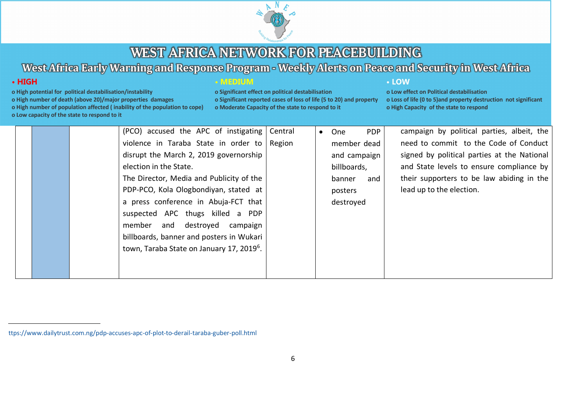

# West Africa Early Warning and Response Program - Weekly Alerts on Peace and Security in West Africa

## $\cdot$  HIGH

- o High potential for political destabilisation/instability
- o High number of death (above 20)/major properties damages
- o High number of population affected (inability of the population to cope)
- o Low capacity of the state to respond to it

#### **• MEDIUM**

o Significant effect on political destabilisation o Significant reported cases of loss of life (5 to 20) and property o Moderate Capacity of the state to respond to it

#### • LOW

|  | (PCO) accused the APC of instigating                  | Central | $\bullet$ | One          | <b>PDP</b> | campaign by political parties, albeit, the  |
|--|-------------------------------------------------------|---------|-----------|--------------|------------|---------------------------------------------|
|  | violence in Taraba State in order to                  | Region  |           | member dead  |            | need to commit to the Code of Conduct       |
|  | disrupt the March 2, 2019 governorship                |         |           | and campaign |            | signed by political parties at the National |
|  | election in the State.                                |         |           | billboards,  |            | and State levels to ensure compliance by    |
|  | The Director, Media and Publicity of the              |         |           | banner       | and        | their supporters to be law abiding in the   |
|  | PDP-PCO, Kola Ologbondiyan, stated at                 |         |           | posters      |            | lead up to the election.                    |
|  | a press conference in Abuja-FCT that                  |         |           | destroyed    |            |                                             |
|  | suspected APC thugs killed a PDP                      |         |           |              |            |                                             |
|  | member and destroyed campaign                         |         |           |              |            |                                             |
|  | billboards, banner and posters in Wukari              |         |           |              |            |                                             |
|  | town, Taraba State on January 17, 2019 <sup>6</sup> . |         |           |              |            |                                             |
|  |                                                       |         |           |              |            |                                             |
|  |                                                       |         |           |              |            |                                             |

ttps://www.dailytrust.com.ng/pdp-accuses-apc-of-plot-to-derail-taraba-guber-poll.html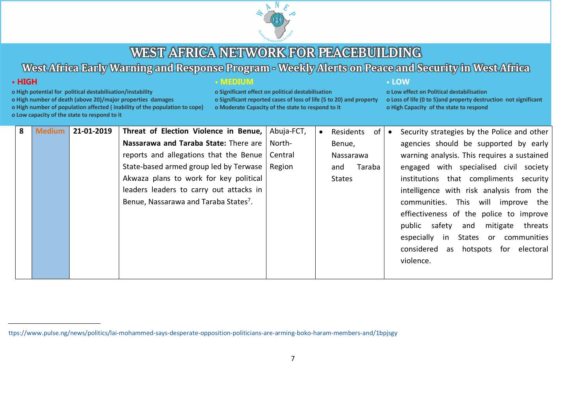

# West Africa Early Warning and Response Program - Weekly Alerts on Peace and Security in West Africa

### $\cdot$  HIGH

- o High potential for political destabilisation/instability
- o High number of death (above 20)/major properties damages

o High number of population affected (inability of the population to cope)

o Low capacity of the state to respond to it

| MEDIUM |  |  |  |
|--------|--|--|--|
|        |  |  |  |
|        |  |  |  |
|        |  |  |  |
|        |  |  |  |

o Significant effect on political destabilisation o Significant reported cases of loss of life (5 to 20) and property o Moderate Capacity of the state to respond to it

#### • LOW

| 8 | <b>Medium</b> | 21-01-2019 | Threat of Election Violence in Benue, Abuja-FCT,  |        | Residents     | $of \,   \,$ | Security strategies by the Police and other |
|---|---------------|------------|---------------------------------------------------|--------|---------------|--------------|---------------------------------------------|
|   |               |            | Nassarawa and Taraba State: There are             | North- | Benue,        |              | agencies should be supported by early       |
|   |               |            | reports and allegations that the Benue   Central  |        | Nassarawa     |              | warning analysis. This requires a sustained |
|   |               |            | State-based armed group led by Terwase   Region   |        | Taraba<br>and |              | engaged with specialised civil society      |
|   |               |            | Akwaza plans to work for key political            |        | States        |              | institutions that compliments security      |
|   |               |            | leaders leaders to carry out attacks in           |        |               |              | intelligence with risk analysis from the    |
|   |               |            | Benue, Nassarawa and Taraba States <sup>7</sup> . |        |               |              | communities. This will improve the          |
|   |               |            |                                                   |        |               |              | effiectiveness of the police to improve     |
|   |               |            |                                                   |        |               |              | public safety and mitigate threats          |
|   |               |            |                                                   |        |               |              | especially in States or communities         |
|   |               |            |                                                   |        |               |              | considered as hotspots for electoral        |
|   |               |            |                                                   |        |               |              | violence.                                   |
|   |               |            |                                                   |        |               |              |                                             |

ttps://www.pulse.ng/news/politics/lai-mohammed-says-desperate-opposition-politicians-are-arming-boko-haram-members-and/1bpjsgy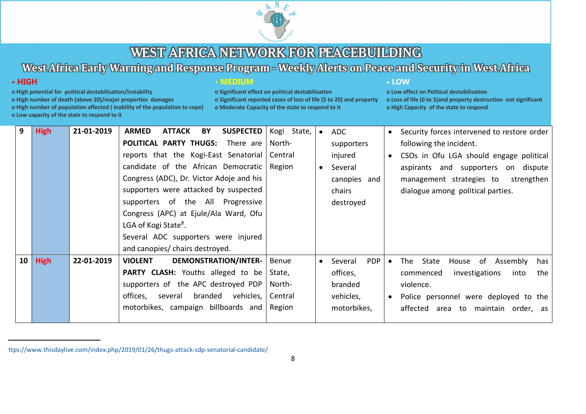

# West Africa Early Warning and Response Program - Weekly Alerts on Peace and Security in West Africa

## $\cdot$  HIGH

- o High potential for political destabilisation/instability
- o High number of death (above 20)/major properties damages

o High number of population affected (inability of the population to cope)

o Low capacity of the state to respond to it

| MEDIUN |  |  |  |  |
|--------|--|--|--|--|
|        |  |  |  |  |

o Significant effect on political destabilisation o Significant reported cases of loss of life (5 to 20) and property o Moderate Capacity of the state to respond to it

#### • LOW

| 9  | <b>High</b> | 21-01-2019 | <b>SUSPECTED</b><br><b>ATTACK</b><br>BY<br><b>ARMED</b> | Kogi State,  | Security forces intervened to restore order<br>ADC<br>$\bullet$             |
|----|-------------|------------|---------------------------------------------------------|--------------|-----------------------------------------------------------------------------|
|    |             |            | <b>POLITICAL PARTY THUGS:</b> There are                 | North-       | following the incident.<br>supporters                                       |
|    |             |            | reports that the Kogi-East Senatorial                   | Central      | injured<br>CSOs in Ofu LGA should engage political<br>$\bullet$             |
|    |             |            | candidate of the African Democratic                     | Region       | Several<br>aspirants and supporters on dispute<br>$\bullet$                 |
|    |             |            | Congress (ADC), Dr. Victor Adoje and his                |              | canopies and<br>management strategies to<br>strengthen                      |
|    |             |            | supporters were attacked by suspected                   |              | dialogue among political parties.<br>chairs                                 |
|    |             |            | supporters of the All Progressive                       |              | destroyed                                                                   |
|    |             |            | Congress (APC) at Ejule/Ala Ward, Ofu                   |              |                                                                             |
|    |             |            | LGA of Kogi State <sup>8</sup> .                        |              |                                                                             |
|    |             |            | Several ADC supporters were injured                     |              |                                                                             |
|    |             |            | and canopies/ chairs destroyed.                         |              |                                                                             |
| 10 | <b>High</b> | 22-01-2019 | DEMONSTRATION/INTER-<br><b>VIOLENT</b>                  | <b>Benue</b> | <b>PDP</b><br>The State<br>House of Assembly<br>Several<br>has<br>$\bullet$ |
|    |             |            | <b>PARTY CLASH:</b> Youths alleged to be                | State,       | offices,<br>investigations<br>into<br>the<br>commenced                      |
|    |             |            | supporters of the APC destroyed PDP                     | North-       | violence.<br>branded                                                        |
|    |             |            | vehicles,<br>branded<br>offices,<br>several             | Central      | vehicles,<br>Police personnel were deployed to the<br>$\bullet$             |
|    |             |            | motorbikes, campaign billboards and                     | Region       | motorbikes,<br>affected area to maintain order, as                          |
|    |             |            |                                                         |              |                                                                             |

ttps://www.thisdaylive.com/index.php/2019/01/26/thugs-attack-sdp-senatorial-candidate/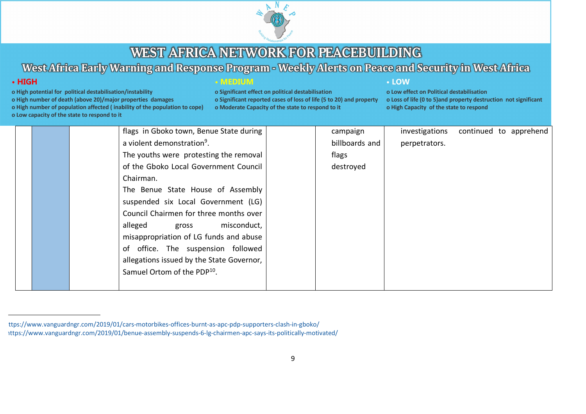

# West Africa Early Warning and Response Program - Weekly Alerts on Peace and Security in West Africa

# $\cdot$  HIGH

- o High potential for political destabilisation/instability
- o High number of death (above 20)/major properties damages

o High number of population affected (inability of the population to cope)

o Low capacity of the state to respond to it

### **• MEDIUM**

o Significant effect on political destabilisation o Significant reported cases of loss of life (5 to 20) and property o Moderate Capacity of the state to respond to it

#### • LOW

|  | flags in Gboko town, Benue State during   | campaign       | investigations | continued to apprehend |
|--|-------------------------------------------|----------------|----------------|------------------------|
|  | a violent demonstration <sup>9</sup> .    | billboards and | perpetrators.  |                        |
|  | The youths were protesting the removal    | flags          |                |                        |
|  | of the Gboko Local Government Council     | destroyed      |                |                        |
|  | Chairman.                                 |                |                |                        |
|  | The Benue State House of Assembly         |                |                |                        |
|  | suspended six Local Government (LG)       |                |                |                        |
|  | Council Chairmen for three months over    |                |                |                        |
|  | misconduct,<br>alleged<br>gross           |                |                |                        |
|  | misappropriation of LG funds and abuse    |                |                |                        |
|  | of office. The suspension followed        |                |                |                        |
|  | allegations issued by the State Governor, |                |                |                        |
|  | Samuel Ortom of the PDP <sup>10</sup> .   |                |                |                        |
|  |                                           |                |                |                        |

ttps://www.vanguardngr.com/2019/01/cars-motorbikes-offices-burnt-as-apc-pdp-supporters-clash-in-gboko/ ittps://www.vanguardngr.com/2019/01/benue-assembly-suspends-6-lg-chairmen-apc-says-its-politically-motivated/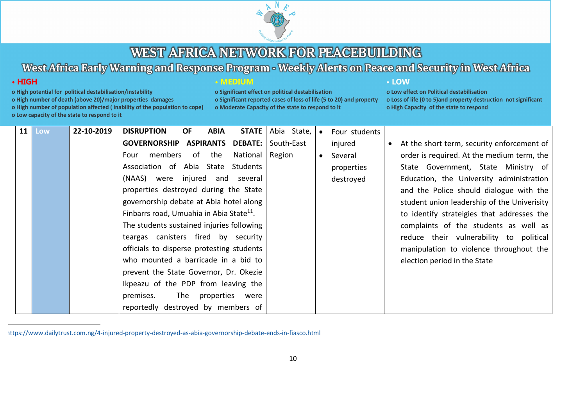

# West Africa Early Warning and Response Program - Weekly Alerts on Peace and Security in West Africa

### $\cdot$  HIGH

- o High potential for political destabilisation/instability
- o High number of death (above 20)/major properties damages

o High number of population affected (inability of the population to cope)

o Low capacity of the state to respond to it

|  | חוותה |  |
|--|-------|--|
|  |       |  |

o Significant effect on political destabilisation o Significant reported cases of loss of life (5 to 20) and property o Moderate Capacity of the state to respond to it

#### • LOW

| 11 | Low | 22-10-2019 | <b>DISRUPTION</b><br><b>OF</b>                       | <b>ABIA</b> | <b>STATE</b>        | Abia State, |           | Four students |                                             |
|----|-----|------------|------------------------------------------------------|-------------|---------------------|-------------|-----------|---------------|---------------------------------------------|
|    |     |            | <b>GOVERNORSHIP ASPIRANTS</b>                        |             | <b>DEBATE:</b>      | South-East  |           | injured       | At the short term, security enforcement of  |
|    |     |            | members of the<br>Four                               |             | National            | Region      | $\bullet$ | Several       | order is required. At the medium term, the  |
|    |     |            | Association of Abia State                            |             | Students            |             |           | properties    | State Government, State Ministry of         |
|    |     |            | (NAAS) were                                          |             | injured and several |             |           | destroyed     | Education, the University administration    |
|    |     |            | properties destroyed during the State                |             |                     |             |           |               | and the Police should dialogue with the     |
|    |     |            | governorship debate at Abia hotel along              |             |                     |             |           |               | student union leadership of the Univerisity |
|    |     |            | Finbarrs road, Umuahia in Abia State <sup>11</sup> . |             |                     |             |           |               | to identify strateigies that addresses the  |
|    |     |            | The students sustained injuries following            |             |                     |             |           |               | complaints of the students as well as       |
|    |     |            | teargas canisters fired by security                  |             |                     |             |           |               | reduce their vulnerability to political     |
|    |     |            | officials to disperse protesting students            |             |                     |             |           |               | manipulation to violence throughout the     |
|    |     |            | who mounted a barricade in a bid to                  |             |                     |             |           |               | election period in the State                |
|    |     |            | prevent the State Governor, Dr. Okezie               |             |                     |             |           |               |                                             |
|    |     |            | Ikpeazu of the PDP from leaving the                  |             |                     |             |           |               |                                             |
|    |     |            | premises.                                            |             | The properties were |             |           |               |                                             |
|    |     |            | reportedly destroyed by members of                   |             |                     |             |           |               |                                             |

ittps://www.dailytrust.com.ng/4-injured-property-destroyed-as-abia-governorship-debate-ends-in-fiasco.html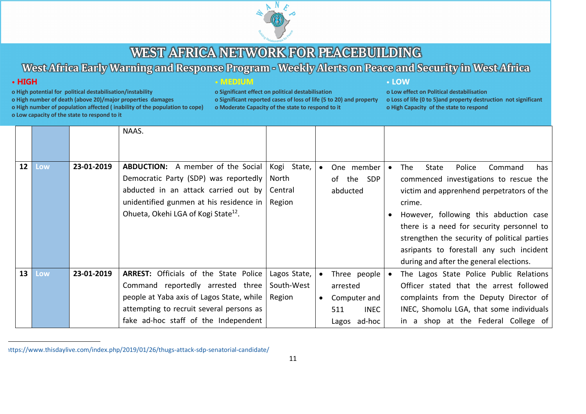

# West Africa Early Warning and Response Program - Weekly Alerts on Peace and Security in West Africa

### $\cdot$  HIGH

o High potential for political destabilisation/instability

o High number of death (above 20)/major properties damages

o High number of population affected (inability of the population to cope)

o Low capacity of the state to respond to it

### **• MEDIUM**

o Significant effect on political destabilisation o Significant reported cases of loss of life (5 to 20) and property o Moderate Capacity of the state to respond to it

#### • LOW

|                 |     |            | NAAS.                                                                                                                                                                                                                   |                                           |                                                                                |           |                                                                                                                                                                                                                                                                                                                                                                         |
|-----------------|-----|------------|-------------------------------------------------------------------------------------------------------------------------------------------------------------------------------------------------------------------------|-------------------------------------------|--------------------------------------------------------------------------------|-----------|-------------------------------------------------------------------------------------------------------------------------------------------------------------------------------------------------------------------------------------------------------------------------------------------------------------------------------------------------------------------------|
| 12 <sup>1</sup> | Low | 23-01-2019 | <b>ABDUCTION:</b> A member of the Social<br>Democratic Party (SDP) was reportedly<br>abducted in an attack carried out by<br>unidentified gunmen at his residence in<br>Ohueta, Okehi LGA of Kogi State <sup>12</sup> . | Kogi State,<br>North<br>Central<br>Region | One member<br>of the<br><b>SDP</b><br>abducted                                 | $\bullet$ | The<br>Police<br>State<br>Command<br>has<br>commenced investigations to rescue the<br>victim and apprenhend perpetrators of the<br>crime.<br>However, following this abduction case<br>there is a need for security personnel to<br>strengthen the security of political parties<br>asripants to forestall any such incident<br>during and after the general elections. |
| 13 <sup>7</sup> | Low | 23-01-2019 | ARREST: Officials of the State Police<br>Command reportedly arrested three<br>people at Yaba axis of Lagos State, while<br>attempting to recruit several persons as<br>fake ad-hoc staff of the Independent             | Lagos State,<br>South-West<br>Region      | Three people<br>arrested<br>Computer and<br><b>INEC</b><br>511<br>Lagos ad-hoc | $\bullet$ | The Lagos State Police Public Relations<br>Officer stated that the arrest followed<br>complaints from the Deputy Director of<br>INEC, Shomolu LGA, that some individuals<br>in a shop at the Federal College of                                                                                                                                                         |

ittps://www.thisdaylive.com/index.php/2019/01/26/thugs-attack-sdp-senatorial-candidate/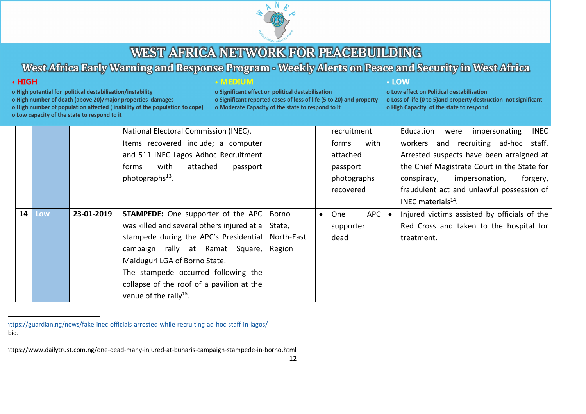

# West Africa Early Warning and Response Program - Weekly Alerts on Peace and Security in West Africa

### $\cdot$  HIGH

o High potential for political destabilisation/instability

o High number of death (above 20)/major properties damages

o High number of population affected (inability of the population to cope)

o Low capacity of the state to respond to it

| <b>I</b> I I | . . |  |  |
|--------------|-----|--|--|
|              |     |  |  |

o Significant effect on political destabilisation o Significant reported cases of loss of life (5 to 20) and property o Moderate Capacity of the state to respond to it

#### • LOW

o Low effect on Political destabilisation o Loss of life (0 to 5) and property destruction not significant o High Capacity of the state to respond

|                        |            | National Electoral Commission (INEC).      |            |           | recruitment       |  | Education<br>impersonating<br>INEC<br>were   |
|------------------------|------------|--------------------------------------------|------------|-----------|-------------------|--|----------------------------------------------|
|                        |            | Items recovered include; a computer        |            |           | with<br>forms     |  | workers and recruiting ad-hoc staff.         |
|                        |            | and 511 INEC Lagos Adhoc Recruitment       |            |           | attached          |  | Arrested suspects have been arraigned at     |
|                        |            | attached<br>with<br>passport<br>forms      |            |           | passport          |  | the Chief Magistrate Court in the State for  |
|                        |            | photographs <sup>13</sup> .                |            |           | photographs       |  | forgery,<br>conspiracy,<br>impersonation,    |
|                        |            |                                            |            |           | recovered         |  | fraudulent act and unlawful possession of    |
|                        |            |                                            |            |           |                   |  | INEC materials $14$ .                        |
| 14 <sup>1</sup><br>Low | 23-01-2019 | <b>STAMPEDE:</b> One supporter of the APC  | Borno      | $\bullet$ | <b>APC</b><br>One |  | Injured victims assisted by officials of the |
|                        |            | was killed and several others injured at a | State,     |           | supporter         |  | Red Cross and taken to the hospital for      |
|                        |            | stampede during the APC's Presidential     | North-East |           | dead              |  | treatment.                                   |
|                        |            | campaign rally at Ramat Square,            | Region     |           |                   |  |                                              |
|                        |            | Maiduguri LGA of Borno State.              |            |           |                   |  |                                              |
|                        |            | The stampede occurred following the        |            |           |                   |  |                                              |
|                        |            | collapse of the roof of a pavilion at the  |            |           |                   |  |                                              |
|                        |            | venue of the rally <sup>15</sup> .         |            |           |                   |  |                                              |

)ttps://guardian.ng/news/fake-inec-officials-arrested-while-recruiting-ad-hoc-staff-in-lagos/ bid.

ittps://www.dailytrust.com.ng/one-dead-many-injured-at-buharis-campaign-stampede-in-borno.html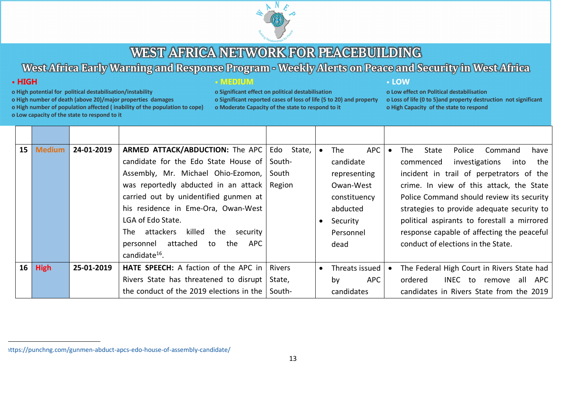

# West Africa Early Warning and Response Program - Weekly Alerts on Peace and Security in West Africa

### $\cdot$  HIGH

- o High potential for political destabilisation/instability
- o High number of death (above 20)/major properties damages

o High number of population affected (inability of the population to cope)

o Low capacity of the state to respond to it

#### **• MEDIUM**

o Significant effect on political destabilisation o Significant reported cases of loss of life (5 to 20) and property o Moderate Capacity of the state to respond to it

#### • LOW

|    | 15 <sub>1</sub><br><b>Medium</b> | 24-01-2019 | ARMED ATTACK/ABDUCTION: The APC             | Edo State,    |           | APC<br>The       |  | Police<br><b>The</b><br>State<br>Command<br>have |
|----|----------------------------------|------------|---------------------------------------------|---------------|-----------|------------------|--|--------------------------------------------------|
|    |                                  |            | candidate for the Edo State House of South- |               |           | candidate        |  | investigations<br>into<br>the I<br>commenced     |
|    |                                  |            | Assembly, Mr. Michael Ohio-Ezomon,          | South         |           | representing     |  | incident in trail of perpetrators of the         |
|    |                                  |            | was reportedly abducted in an attack        | Region        |           | Owan-West        |  | crime. In view of this attack, the State         |
|    |                                  |            | carried out by unidentified gunmen at       |               |           | constituency     |  | Police Command should review its security        |
|    |                                  |            | his residence in Eme-Ora, Owan-West         |               |           | abducted         |  | strategies to provide adequate security to       |
|    |                                  |            | LGA of Edo State.                           |               |           | Security         |  | political aspirants to forestall a mirrored      |
|    |                                  |            | killed<br>The attackers<br>the<br>security  |               |           | Personnel        |  | response capable of affecting the peaceful       |
|    |                                  |            | attached<br>APC<br>personnel<br>to<br>the   |               |           | dead             |  | conduct of elections in the State.               |
|    |                                  |            | candidate $^{16}$ .                         |               |           |                  |  |                                                  |
| 16 | <b>High</b>                      | 25-01-2019 | HATE SPEECH: A faction of the APC in        | <b>Rivers</b> | $\bullet$ | Threats issued   |  | The Federal High Court in Rivers State had       |
|    |                                  |            | Rivers State has threatened to disrupt      | State,        |           | <b>APC</b><br>bv |  | INEC to<br>all<br>ordered<br>APC<br>remove       |
|    |                                  |            | the conduct of the 2019 elections in the    | South-        |           | candidates       |  | candidates in Rivers State from the 2019         |

<sup>)</sup>ttps://punchng.com/gunmen-abduct-apcs-edo-house-of-assembly-candidate/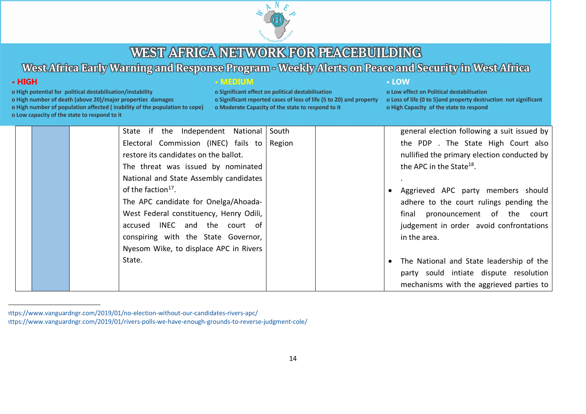

# West Africa Early Warning and Response Program - Weekly Alerts on Peace and Security in West Africa

# $\cdot$  HIGH

- o High potential for political destabilisation/instability
- o High number of death (above 20)/major properties damages
- o High number of population affected (inability of the population to cope)
- o Low capacity of the state to respond to it

#### **• MEDIUM**

o Significant effect on political destabilisation o Significant reported cases of loss of life (5 to 20) and property o Moderate Capacity of the state to respond to it

#### • LOW

|  | State if the Independent National South |        | general election following a suit issued by |
|--|-----------------------------------------|--------|---------------------------------------------|
|  | Electoral Commission (INEC) fails to    | Region | the PDP. The State High Court also          |
|  | restore its candidates on the ballot.   |        | nullified the primary election conducted by |
|  | The threat was issued by nominated      |        | the APC in the State <sup>18</sup> .        |
|  | National and State Assembly candidates  |        |                                             |
|  | of the faction <sup>17</sup> .          |        | Aggrieved APC party members should          |
|  | The APC candidate for Onelga/Ahoada-    |        | adhere to the court rulings pending the     |
|  | West Federal constituency, Henry Odili, |        | final pronouncement of the court            |
|  | accused INEC and the court of           |        | judgement in order avoid confrontations     |
|  | conspiring with the State Governor,     |        | in the area.                                |
|  | Nyesom Wike, to displace APC in Rivers  |        |                                             |
|  | State.                                  |        | The National and State leadership of the    |
|  |                                         |        | party sould intiate dispute resolution      |
|  |                                         |        | mechanisms with the aggrieved parties to    |

<sup>)</sup>ttps://www.vanguardngr.com/2019/01/no-election-without-our-candidates-rivers-apc ittps://www.vanguardngr.com/2019/01/rivers-polls-we-have-enough-grounds-to-reverse-judgment-cole/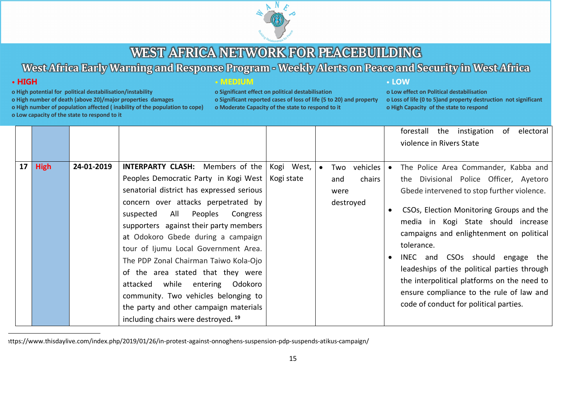

# West Africa Early Warning and Response Program - Weekly Alerts on Peace and Security in West Africa

### $\cdot$  HIGH

- o High potential for political destabilisation/instability
- o High number of death (above 20)/major properties damages
- o High number of population affected (inability of the population to cope)
- o Low capacity of the state to respond to it

o Significant effect on political destabilisation o Significant reported cases of loss of life (5 to 20) and property o Moderate Capacity of the state to respond to it

#### • LOW

o Low effect on Political destabilisation o Loss of life (0 to 5) and property destruction not significant o High Capacity of the state to respond

|                 |             |            |                                                                                                                                                                                                                                                                                                                                                                                                                                                                                                                                                                                                        |            |           |                                                    |                                     | forestall the instigation of<br>electoral<br>violence in Rivers State                                                                                                                                                                                                                                                                                                                                                                                                                            |
|-----------------|-------------|------------|--------------------------------------------------------------------------------------------------------------------------------------------------------------------------------------------------------------------------------------------------------------------------------------------------------------------------------------------------------------------------------------------------------------------------------------------------------------------------------------------------------------------------------------------------------------------------------------------------------|------------|-----------|----------------------------------------------------|-------------------------------------|--------------------------------------------------------------------------------------------------------------------------------------------------------------------------------------------------------------------------------------------------------------------------------------------------------------------------------------------------------------------------------------------------------------------------------------------------------------------------------------------------|
| 17 <sup>1</sup> | <b>High</b> | 24-01-2019 | <b>INTERPARTY CLASH:</b> Members of the<br>Peoples Democratic Party in Kogi West   Kogi state<br>senatorial district has expressed serious<br>concern over attacks perpetrated by<br>All Peoples<br>Congress<br>suspected<br>supporters against their party members<br>at Odokoro Gbede during a campaign<br>tour of Ijumu Local Government Area.<br>The PDP Zonal Chairman Taiwo Kola-Ojo<br>of the area stated that they were<br>attacked while entering Odokoro<br>community. Two vehicles belonging to<br>the party and other campaign materials<br>including chairs were destroyed. <sup>19</sup> | Kogi West, | $\bullet$ | Two vehicles<br>chairs<br>and<br>were<br>destroyed | $\bullet$<br>$\bullet$<br>$\bullet$ | The Police Area Commander, Kabba and<br>the Divisional Police Officer, Ayetoro<br>Gbede intervened to stop further violence.<br>CSOs, Election Monitoring Groups and the<br>media in Kogi State should increase<br>campaigns and enlightenment on political<br>tolerance.<br>INEC and CSOs should engage the<br>leadeships of the political parties through<br>the interpolitical platforms on the need to<br>ensure compliance to the rule of law and<br>code of conduct for political parties. |

)ttps://www.thisdaylive.com/index.php/2019/01/26/in-protest-against-onnoghens-suspension-pdp-suspends-atikus-campaign/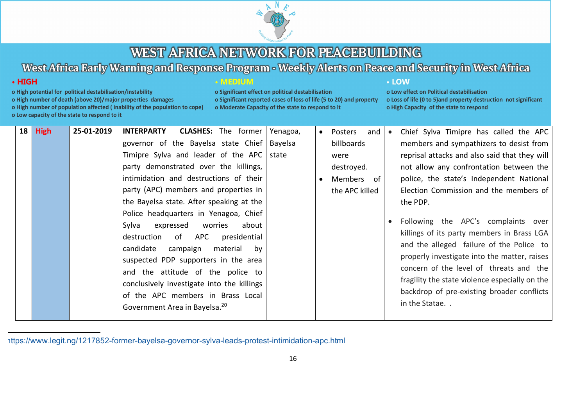

# West Africa Early Warning and Response Program - Weekly Alerts on Peace and Security in West Africa

o Significant reported cases of loss of life (5 to 20) and property

o Significant effect on political destabilisation

o Moderate Capacity of the state to respond to it

• LOW

o Low effect on Political destabilisation

o High Capacity of the state to respond

o Loss of life (0 to 5) and property destruction not significant

• MEDIUM

### $\cdot$  HIGH

- o High potential for political destabilisation/instability
- o High number of death (above 20)/major properties damages

o High number of population affected (inability of the population to cope)

|    |             | o Low capacity of the state to respond to it |                                                                                                                                                                                                                                                                                                                                                                                                                                                                                                                                                                                                                                                                                           |                              |                                                                                                                |                                                                                                                                                                                                                                                                                                                                                                                                                                                                                                                                                                                                                                           |
|----|-------------|----------------------------------------------|-------------------------------------------------------------------------------------------------------------------------------------------------------------------------------------------------------------------------------------------------------------------------------------------------------------------------------------------------------------------------------------------------------------------------------------------------------------------------------------------------------------------------------------------------------------------------------------------------------------------------------------------------------------------------------------------|------------------------------|----------------------------------------------------------------------------------------------------------------|-------------------------------------------------------------------------------------------------------------------------------------------------------------------------------------------------------------------------------------------------------------------------------------------------------------------------------------------------------------------------------------------------------------------------------------------------------------------------------------------------------------------------------------------------------------------------------------------------------------------------------------------|
| 18 | <b>High</b> | 25-01-2019                                   | <b>INTERPARTY</b><br><b>CLASHES:</b> The former<br>governor of the Bayelsa state Chief<br>Timipre Sylva and leader of the APC<br>party demonstrated over the killings,<br>intimidation and destructions of their<br>party (APC) members and properties in<br>the Bayelsa state. After speaking at the<br>Police headquarters in Yenagoa, Chief<br>Sylva<br>expressed<br>worries<br>about<br>of APC<br>destruction<br>presidential<br>candidate<br>campaign<br>material<br>bv<br>suspected PDP supporters in the area<br>and the attitude of the police to<br>conclusively investigate into the killings<br>of the APC members in Brass Local<br>Government Area in Bayelsa. <sup>20</sup> | Yenagoa,<br>Bayelsa<br>state | and  <br>Posters<br>$\bullet$<br>billboards<br>were<br>destroyed.<br>Members of<br>$\bullet$<br>the APC killed | Chief Sylva Timipre has called the APC<br>$\bullet$<br>members and sympathizers to desist from<br>reprisal attacks and also said that they will<br>not allow any confrontation between the<br>police, the state's Independent National<br>Election Commission and the members of<br>the PDP.<br>Following the APC's complaints over<br>killings of its party members in Brass LGA<br>and the alleged failure of the Police to<br>properly investigate into the matter, raises<br>concern of the level of threats and the<br>fragility the state violence especially on the<br>backdrop of pre-existing broader conflicts<br>in the Statae |

 <sup>20</sup> https://www.legit.ng/1217852-former-bayelsa-governor-sylva-leads-protest-intimidation-apc.html